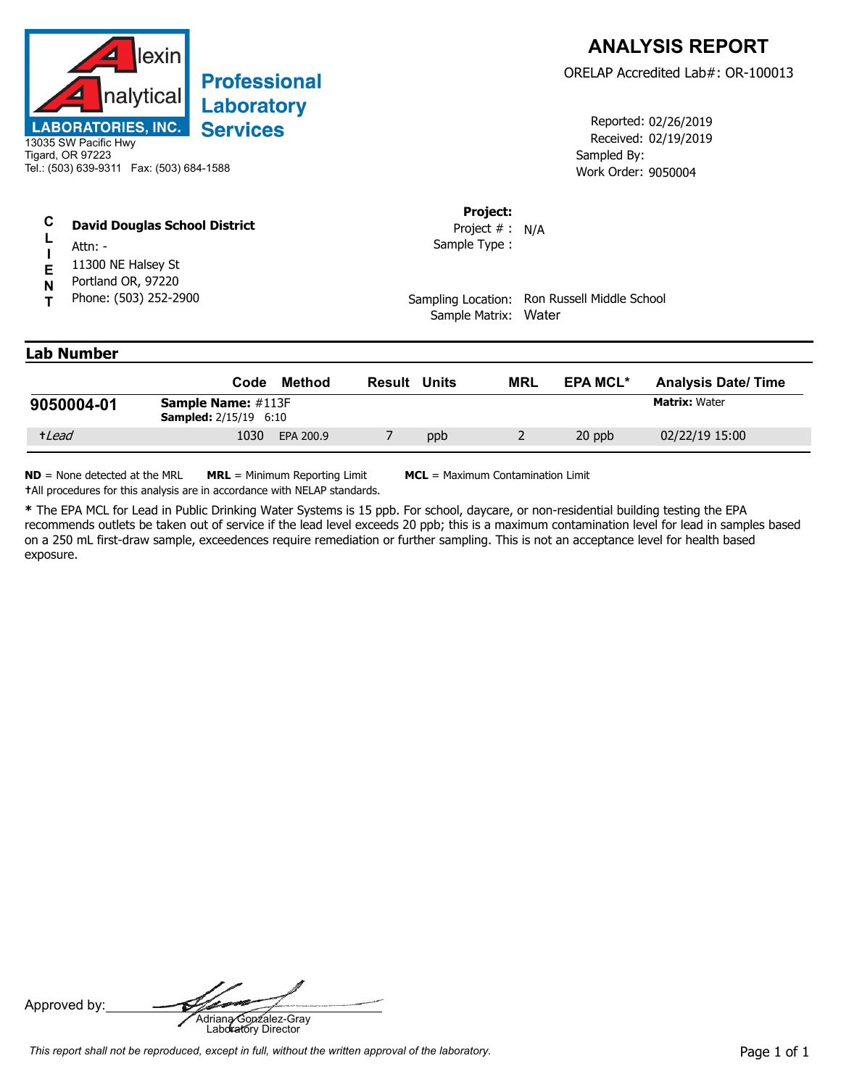

## **Professional** Laboratory **Services**

| C | <b>David Douglas School District</b> |
|---|--------------------------------------|
|   |                                      |

- **I** Attn: -
- **E** 11300 NE Halsey St
- **N** Portland OR, 97220
- **T** Phone: (503) 252-2900

Received: 02/19/2019 Work Order: 9050004 Reported: 02/26/2019 Sampled By:

## **Project:**

Sample Type : Project # : N/A

Sampling Location: Ron Russell Middle School Sample Matrix: Water

## **Lab Number**

|            | Code                                                      | Method    | Result | Units | <b>MRL</b> | <b>EPA MCL*</b> | <b>Analysis Date/Time</b> |
|------------|-----------------------------------------------------------|-----------|--------|-------|------------|-----------------|---------------------------|
| 9050004-01 | <b>Sample Name: #113F</b><br><b>Sampled:</b> 2/15/19 6:10 |           |        |       |            |                 | <b>Matrix: Water</b>      |
| +Lead      | 1030                                                      | EPA 200.9 |        | ppb   |            | 20 ppb          | 02/22/19 15:00            |

**ND** = None detected at the MRL **MRL** = Minimum Reporting Limit **MCL** = Maximum Contamination Limit **†**All procedures for this analysis are in accordance with NELAP standards.

**\*** The EPA MCL for Lead in Public Drinking Water Systems is 15 ppb. For school, daycare, or non-residential building testing the EPA recommends outlets be taken out of service if the lead level exceeds 20 ppb; this is a maximum contamination level for lead in samples based on a 250 mL first-draw sample, exceedences require remediation or further sampling. This is not an acceptance level for health based exposure.

Approved by: **Adriana Gonzalez-Gray**<br>Adriana Gonzalez-Gray<br>Laboratory Director